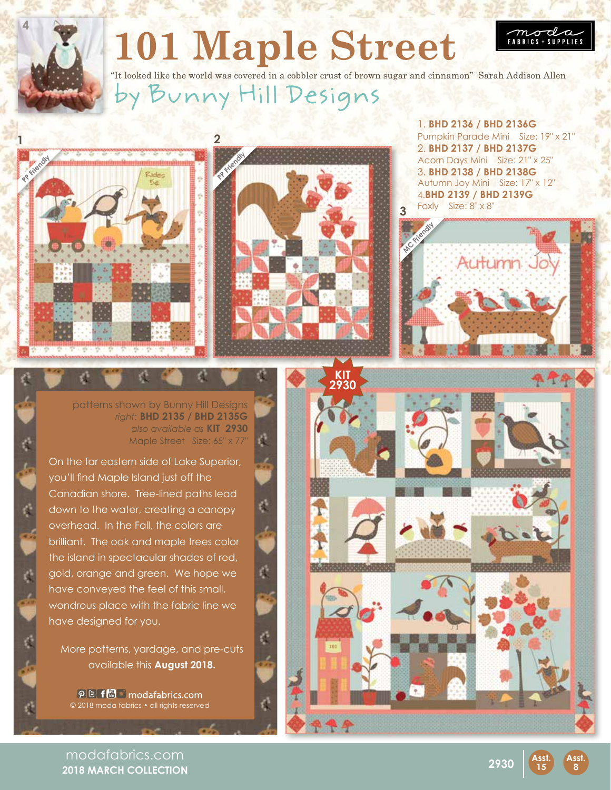## **101 Maple Street**



"It looked like the world was covered in a cobbler crust of brown sugar and cinnamon" Sarah Addison Allen y Bunny Hill Designs





1. **BHD 2136 / BHD 2136G** Pumpkin Parade Mini Size: 19" x 21" 2. **BHD 2137 / BHD 2137G** Acorn Days Mini Size: 21" x 25" 3. **BHD 2138 / BHD 2138G** Autumn Joy Mini Size: 17" x 12" 4.**BHD 2139 / BHD 2139G** Foxly Size: 8" x 8" **3**

 $m\sigma$ **FABRICS + SUPPLIES** 



patterns shown by Bunny Hill Designs *right:* **BHD 2135 / BHD 2135G** *also available as* **KIT 2930** Maple Street Size: 65" x 77"

On the far eastern side of Lake Superior, you'll find Maple Island just off the Canadian shore. Tree-lined paths lead down to the water, creating a canopy overhead. In the Fall, the colors are brilliant. The oak and maple trees color the island in spectacular shades of red, gold, orange and green. We hope we have conveyed the feel of this small, wondrous place with the fabric line we have designed for you.

¢

More patterns, yardage, and pre-cuts available this **August 2018.**

d

 $\varphi$  B f  $\blacksquare$   $\blacksquare$  modafabrics.com © 2018 moda fabrics • all rights reserved



modafabrics.com **2018 MARCH COLLECTION**



**15**